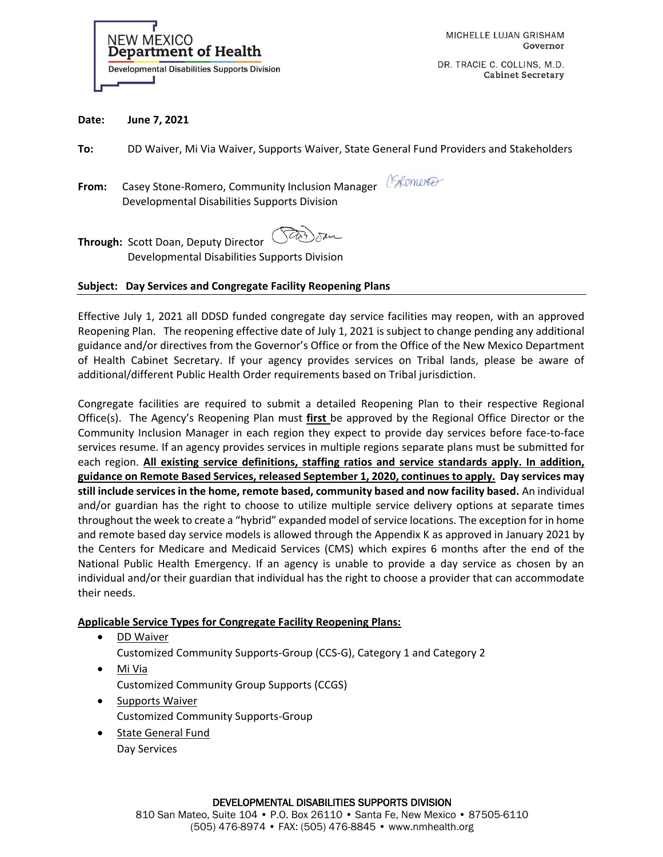

DR. TRACIE C. COLLINS, M.D. **Cabinet Secretary** 

#### **Date: June 7, 2021**

**To:** DD Waiver, Mi Via Waiver, Supports Waiver, State General Fund Providers and Stakeholders

**From:** Casey Stone-Romero, Community Inclusion Manager Chromere Developmental Disabilities Supports Division

 $CD$ **Through:** Scott Doan, Deputy Director Developmental Disabilities Supports Division

#### **Subject: Day Services and Congregate Facility Reopening Plans**

Effective July 1, 2021 all DDSD funded congregate day service facilities may reopen, with an approved Reopening Plan. The reopening effective date of July 1, 2021 is subject to change pending any additional guidance and/or directives from the Governor's Office or from the Office of the New Mexico Department of Health Cabinet Secretary. If your agency provides services on Tribal lands, please be aware of additional/different Public Health Order requirements based on Tribal jurisdiction.

Congregate facilities are required to submit a detailed Reopening Plan to their respective Regional Office(s). The Agency's Reopening Plan must **first** be approved by the Regional Office Director or the Community Inclusion Manager in each region they expect to provide day services before face-to-face services resume. If an agency provides services in multiple regions separate plans must be submitted for each region. **All existing service definitions, staffing ratios and service standards apply. In addition, guidance on Remote Based Services, released September 1, 2020, continues to apply. Day services may still include services in the home, remote based, community based and now facility based.** An individual and/or guardian has the right to choose to utilize multiple service delivery options at separate times throughout the week to create a "hybrid" expanded model of service locations. The exception for in home and remote based day service models is allowed through the Appendix K as approved in January 2021 by the Centers for Medicare and Medicaid Services (CMS) which expires 6 months after the end of the National Public Health Emergency. If an agency is unable to provide a day service as chosen by an individual and/or their guardian that individual has the right to choose a provider that can accommodate their needs.

## **Applicable Service Types for Congregate Facility Reopening Plans:**

- DD Waiver
	- Customized Community Supports-Group (CCS-G), Category 1 and Category 2
- Mi Via Customized Community Group Supports (CCGS)
- Supports Waiver Customized Community Supports-Group
- State General Fund Day Services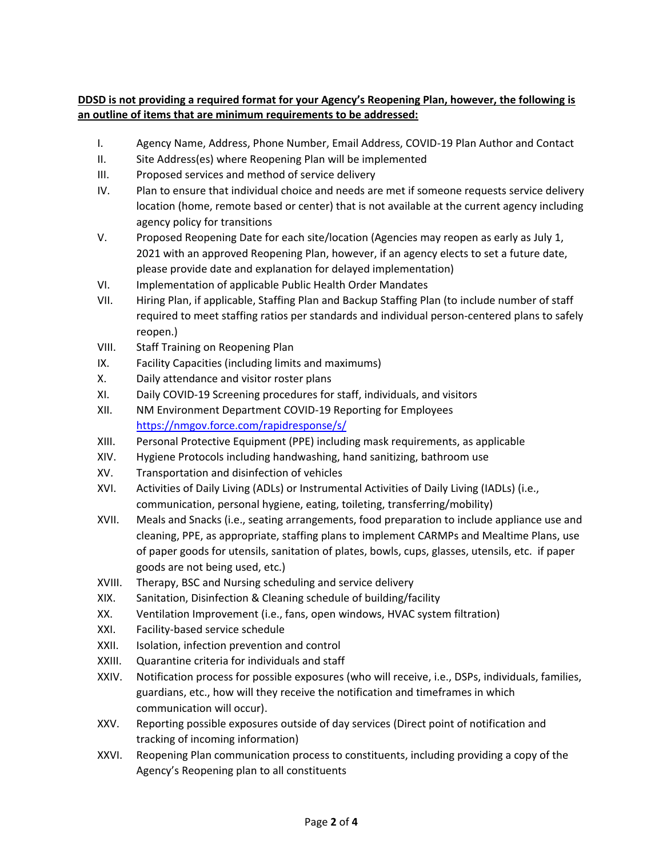# **DDSD is not providing a required format for your Agency's Reopening Plan, however, the following is an outline of items that are minimum requirements to be addressed:**

- I. Agency Name, Address, Phone Number, Email Address, COVID-19 Plan Author and Contact
- II. Site Address(es) where Reopening Plan will be implemented
- III. Proposed services and method of service delivery
- IV. Plan to ensure that individual choice and needs are met if someone requests service delivery location (home, remote based or center) that is not available at the current agency including agency policy for transitions
- V. Proposed Reopening Date for each site/location (Agencies may reopen as early as July 1, 2021 with an approved Reopening Plan, however, if an agency elects to set a future date, please provide date and explanation for delayed implementation)
- VI. Implementation of applicable Public Health Order Mandates
- VII. Hiring Plan, if applicable, Staffing Plan and Backup Staffing Plan (to include number of staff required to meet staffing ratios per standards and individual person-centered plans to safely reopen.)
- VIII. Staff Training on Reopening Plan
- IX. Facility Capacities (including limits and maximums)
- X. Daily attendance and visitor roster plans
- XI. Daily COVID-19 Screening procedures for staff, individuals, and visitors
- XII. NM Environment Department COVID-19 Reporting for Employees <https://nmgov.force.com/rapidresponse/s/>
- XIII. Personal Protective Equipment (PPE) including mask requirements, as applicable
- XIV. Hygiene Protocols including handwashing, hand sanitizing, bathroom use
- XV. Transportation and disinfection of vehicles
- XVI. Activities of Daily Living (ADLs) or Instrumental Activities of Daily Living (IADLs) (i.e., communication, personal hygiene, eating, toileting, transferring/mobility)
- XVII. Meals and Snacks (i.e., seating arrangements, food preparation to include appliance use and cleaning, PPE, as appropriate, staffing plans to implement CARMPs and Mealtime Plans, use of paper goods for utensils, sanitation of plates, bowls, cups, glasses, utensils, etc. if paper goods are not being used, etc.)
- XVIII. Therapy, BSC and Nursing scheduling and service delivery
- XIX. Sanitation, Disinfection & Cleaning schedule of building/facility
- XX. Ventilation Improvement (i.e., fans, open windows, HVAC system filtration)
- XXI. Facility-based service schedule
- XXII. Isolation, infection prevention and control
- XXIII. Quarantine criteria for individuals and staff
- XXIV. Notification process for possible exposures (who will receive, i.e., DSPs, individuals, families, guardians, etc., how will they receive the notification and timeframes in which communication will occur).
- XXV. Reporting possible exposures outside of day services (Direct point of notification and tracking of incoming information)
- XXVI. Reopening Plan communication process to constituents, including providing a copy of the Agency's Reopening plan to all constituents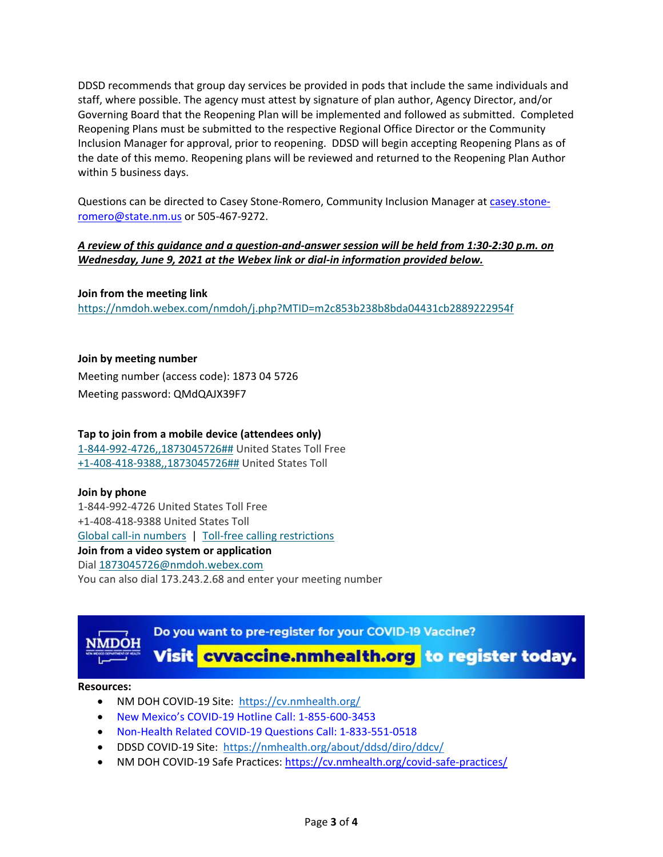DDSD recommends that group day services be provided in pods that include the same individuals and staff, where possible. The agency must attest by signature of plan author, Agency Director, and/or Governing Board that the Reopening Plan will be implemented and followed as submitted. Completed Reopening Plans must be submitted to the respective Regional Office Director or the Community Inclusion Manager for approval, prior to reopening. DDSD will begin accepting Reopening Plans as of the date of this memo. Reopening plans will be reviewed and returned to the Reopening Plan Author within 5 business days.

Questions can be directed to Casey Stone-Romero, Community Inclusion Manager at [casey.stone](mailto:casey.stone-romero@state.nm.us)[romero@state.nm.us](mailto:casey.stone-romero@state.nm.us) or 505-467-9272.

# *A review of this guidance and a question-and-answer session will be held from 1:30-2:30 p.m. on Wednesday, June 9, 2021 at the Webex link or dial-in information provided below.*

## **Join from the meeting link**

<https://nmdoh.webex.com/nmdoh/j.php?MTID=m2c853b238b8bda04431cb2889222954f>

## **Join by meeting number**

Meeting number (access code): 1873 04 5726 Meeting password: QMdQAJX39F7

### **Tap to join from a mobile device (attendees only)**

[1-844-992-4726,,1873045726##](tel:1-844-992-4726,,*01*1873045726%23%23*01*) United States Toll Free [+1-408-418-9388,,1873045726##](tel:%2B1-408-418-9388,,*01*1873045726%23%23*01*) United States Toll

#### **Join by phone**

1-844-992-4726 United States Toll Free +1-408-418-9388 United States Toll [Global call-in numbers](https://nmdoh.webex.com/nmdoh/globalcallin.php?MTID=m99d200ac6830cb893dd532857292e3fb) | [Toll-free calling restrictions](https://www.webex.com/pdf/tollfree_restrictions.pdf) **Join from a video system or application** Dial [1873045726@nmdoh.webex.com](sip:1873045726@nmdoh.webex.com) You can also dial 173.243.2.68 and enter your meeting number



#### **Resources:**

- NM DOH COVID-19 Site: <https://cv.nmhealth.org/>
- New Mexico's COVID-19 Hotline Call: 1-855-600-3453
- Non-Health Related COVID-19 Questions Call: 1-833-551-0518
- DDSD COVID-19 Site: <https://nmhealth.org/about/ddsd/diro/ddcv/>
- NM DOH COVID-19 Safe Practices:<https://cv.nmhealth.org/covid-safe-practices/>